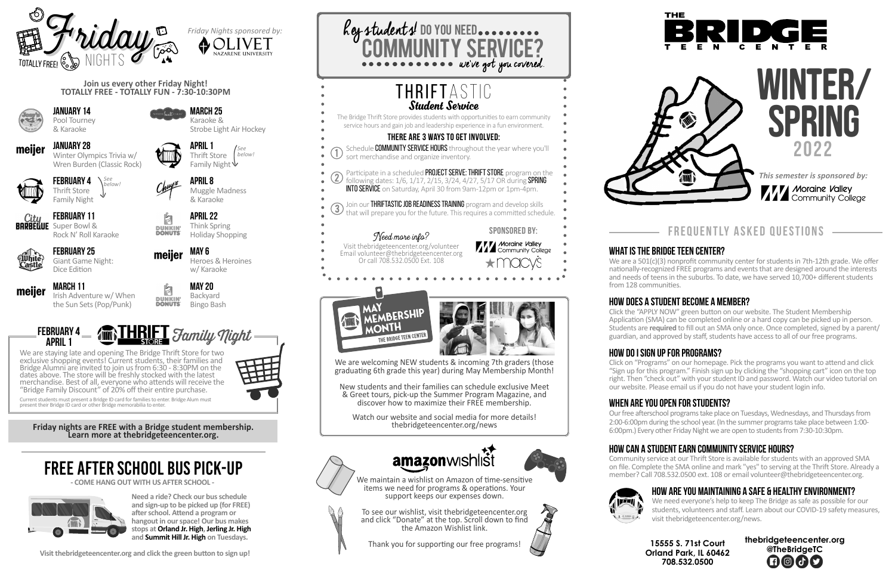*This semester is sponsored by:*

**7 71 Moraine Valley 111 Community College** 

# **2022** WINTER/ **SPRING**

**15555 S. 71st Court Orland Park, IL 60462 708.532.0500**





We maintain a wishlist on Amazon of time-sensitive items we need for programs & operations. Your support keeps our expenses down.

To see our wishlist, visit thebridgeteencenter.org and click "Donate" at the top. Scroll down to find the Amazon Wishlist link.

**BARBELUE** Super Bowl & Rock N' Roll Karaoke



April 1 Thrift Store Family Night  $\forall$ 

Thank you for supporting our free programs!









Pool Tourney & Karaoke

January 28 Winter Olympics Trivia w/ Wren Burden (Classic Rock)





February 25 Giant Game Night: Dice Edition



March 11 Irish Adventure w/ When the Sun Sets (Pop/Punk)

**Paper** DUNKIN'<br>DONUTS

**Palay DUNKIN'**<br>DONUTS'

meijer



Karaoke & Strobe Light Air Hockey

april 8

Muggle Madness & Karaoke

april 22 Think Spring Holiday Shopping

May 6

Heroes & Heroines

w/ Karaoke

## May 20 Backyard Bingo Bash

**Join us every other Friday Night! TOTALLY FREE - TOTALLY FUN - 7:30-10:30PM**

**Friday nights are FREE with a Bridge student membership. Learn more at thebridgeteencenter.org.**

# frequently asked questions

# WHAT IS THE BRIDGE TEEN CENTER?

We are a 501(c)(3) nonprofit community center for students in 7th-12th grade. We offer nationally-recognized FREE programs and events that are designed around the interests and needs of teens in the suburbs. To date, we have served 10,700+ different students from 128 communities.

# How does a student become a member?

Click the "APPLY NOW" green button on our website. The Student Membership Application (SMA) can be completed online or a hard copy can be picked up in person. Students are **required** to fill out an SMA only once. Once completed, signed by a parent/ guardian, and approved by staff, students have access to all of our free programs.

# How do I sign up for programs?

Click on "Programs" on our homepage. Pick the programs you want to attend and click "Sign up for this program." Finish sign up by clicking the "shopping cart" icon on the top right. Then "check out" with your student ID and password. Watch our video tutorial on our website. Please email us if you do not have your student login info.

# WHEN ARE YOU OPEN FOR STUDENTS?

Our free afterschool programs take place on Tuesdays, Wednesdays, and Thursdays from 2:00-6:00pm during the school year. (In the summer programs take place between 1:00- 6:00pm.) Every other Friday Night we are open to students from 7:30-10:30pm.

### **Family Night** APRIL 1 FEBRUARY 4

New students and their families can schedule exclusive Meet & Greet tours, pick-up the Summer Program Magazine, and discover how to maximize their FREE membership.

# How can a student earn community service hours?



Community service at our Thrift Store is available for students with an approved SMA on file. Complete the SMA online and mark "yes" to serving at the Thrift Store. Already a member? Call 708.532.0500 ext. 108 or email volunteer@thebridgeteencenter.org.

# How are you maintaining a safe & healthy environment?

February 4 *See*  Thrift Store Family Night *below!*

> We need everyone's help to keep The Bridge as safe as possible for our students, volunteers and staff. Learn about our COVID-19 safety measures, visit thebridgeteencenter.org/news.

> > **thebridgeteencenter.org @TheBridgeTC**  $\bigoplus \bigcirc \bigcirc \bigcirc$

# Free After School Bus Pick-Up

**Need a ride? Check our bus schedule and sign-up to be picked up (for FREE) after school. Attend a program or hangout in our space! Our bus makes stops at Orland Jr. High, Jerling Jr. High and Summit Hill Jr. High on Tuesdays.**

**- COME HANG OUT WITH US AFTER SCHOOL -** 



**Visit thebridgeteencenter.org and click the green button to sign up!**

We are staying late and opening The Bridge Thrift Store for two exclusive shopping events! Current students, their families and Bridge Alumni are invited to join us from 6:30 - 8:30PM on the dates above. The store will be freshly stocked with the latest merchandise. Best of all, everyone who attends will receive the "Bridge Family Discount" of 20% off their entire purchase.



Current students must present a Bridge ID card for families to enter. Bridge Alum must present their Bridge ID card or other Bridge memorabilia to enter.





We are welcoming NEW students & incoming 7th graders (those graduating 6th grade this year) during May Membership Month!

Watch our website and social media for more details! thebridgeteencenter.org/news









*See below!*